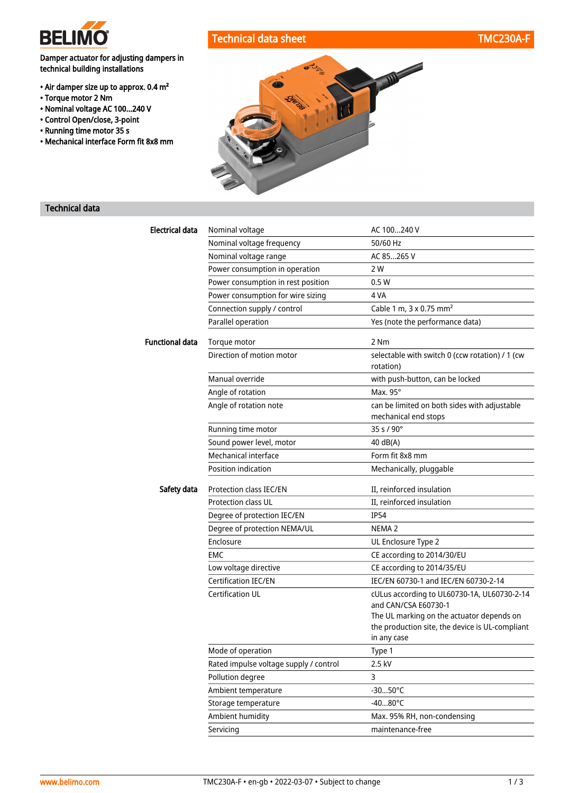

# Technical data sheet Technical data sheet TMC230A-F

## Damper actuator for adjusting dampers in technical building installations

- Air damper size up to approx. 0.4 m²
- Torque motor 2 Nm
- Nominal voltage AC 100...240 V
- Control Open/close, 3-point
- Running time motor 35 s
- Mechanical interface Form fit 8x8 mm



# Technical data

| <b>Electrical data</b> | Nominal voltage                        | AC 100240 V                                                                                                                                                         |
|------------------------|----------------------------------------|---------------------------------------------------------------------------------------------------------------------------------------------------------------------|
|                        | Nominal voltage frequency              | 50/60 Hz                                                                                                                                                            |
|                        | Nominal voltage range                  | AC 85265 V                                                                                                                                                          |
|                        | Power consumption in operation         | 2 W                                                                                                                                                                 |
|                        | Power consumption in rest position     | 0.5W                                                                                                                                                                |
|                        | Power consumption for wire sizing      | 4 VA                                                                                                                                                                |
|                        | Connection supply / control            | Cable 1 m, 3 x 0.75 mm <sup>2</sup>                                                                                                                                 |
|                        | Parallel operation                     | Yes (note the performance data)                                                                                                                                     |
| <b>Functional data</b> | Torque motor                           | 2 Nm                                                                                                                                                                |
|                        | Direction of motion motor              | selectable with switch 0 (ccw rotation) / 1 (cw<br>rotation)                                                                                                        |
|                        | Manual override                        | with push-button, can be locked                                                                                                                                     |
|                        | Angle of rotation                      | Max. 95°                                                                                                                                                            |
|                        | Angle of rotation note                 | can be limited on both sides with adjustable<br>mechanical end stops                                                                                                |
|                        | Running time motor                     | 35 s / 90°                                                                                                                                                          |
|                        | Sound power level, motor               | 40 dB(A)                                                                                                                                                            |
|                        | Mechanical interface                   | Form fit 8x8 mm                                                                                                                                                     |
|                        | Position indication                    | Mechanically, pluggable                                                                                                                                             |
| Safety data            | Protection class IEC/EN                | II, reinforced insulation                                                                                                                                           |
|                        | <b>Protection class UL</b>             | II, reinforced insulation                                                                                                                                           |
|                        | Degree of protection IEC/EN            | <b>IP54</b>                                                                                                                                                         |
|                        | Degree of protection NEMA/UL           | NEMA <sub>2</sub>                                                                                                                                                   |
|                        | Enclosure                              | UL Enclosure Type 2                                                                                                                                                 |
|                        | EMC                                    | CE according to 2014/30/EU                                                                                                                                          |
|                        | Low voltage directive                  | CE according to 2014/35/EU                                                                                                                                          |
|                        | <b>Certification IEC/EN</b>            | IEC/EN 60730-1 and IEC/EN 60730-2-14                                                                                                                                |
|                        | <b>Certification UL</b>                | cULus according to UL60730-1A, UL60730-2-14<br>and CAN/CSA E60730-1<br>The UL marking on the actuator depends on<br>the production site, the device is UL-compliant |
|                        |                                        | in any case                                                                                                                                                         |
|                        | Mode of operation                      | Type 1                                                                                                                                                              |
|                        | Rated impulse voltage supply / control | 2.5 kV                                                                                                                                                              |
|                        | Pollution degree                       | 3                                                                                                                                                                   |
|                        | Ambient temperature                    | $-3050^{\circ}$ C                                                                                                                                                   |
|                        | Storage temperature                    | $-4080^{\circ}$ C                                                                                                                                                   |
|                        | Ambient humidity                       | Max. 95% RH, non-condensing                                                                                                                                         |
|                        | Servicing                              | maintenance-free                                                                                                                                                    |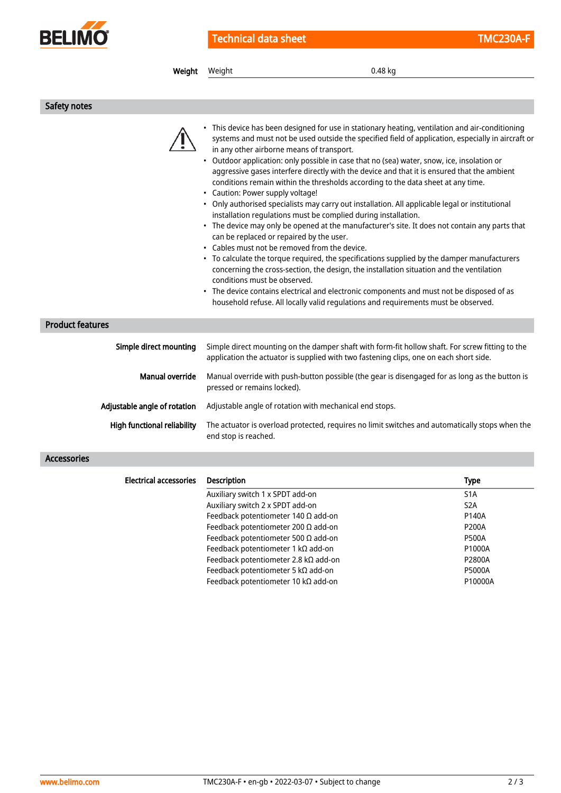

Technical data sheet TMC230A-F

| Weight                        | 0.48 kg<br>Weight                                                                                                                                                                                                                                                                                                                                                                                                                                                                                                                                                                                                                                                                                                                                                                                                                                                                                                                                                                                                                                                                                                                                                                                                                                                                                                                                         |                                                                                                   |
|-------------------------------|-----------------------------------------------------------------------------------------------------------------------------------------------------------------------------------------------------------------------------------------------------------------------------------------------------------------------------------------------------------------------------------------------------------------------------------------------------------------------------------------------------------------------------------------------------------------------------------------------------------------------------------------------------------------------------------------------------------------------------------------------------------------------------------------------------------------------------------------------------------------------------------------------------------------------------------------------------------------------------------------------------------------------------------------------------------------------------------------------------------------------------------------------------------------------------------------------------------------------------------------------------------------------------------------------------------------------------------------------------------|---------------------------------------------------------------------------------------------------|
|                               |                                                                                                                                                                                                                                                                                                                                                                                                                                                                                                                                                                                                                                                                                                                                                                                                                                                                                                                                                                                                                                                                                                                                                                                                                                                                                                                                                           |                                                                                                   |
| Safety notes                  |                                                                                                                                                                                                                                                                                                                                                                                                                                                                                                                                                                                                                                                                                                                                                                                                                                                                                                                                                                                                                                                                                                                                                                                                                                                                                                                                                           |                                                                                                   |
|                               | • This device has been designed for use in stationary heating, ventilation and air-conditioning<br>systems and must not be used outside the specified field of application, especially in aircraft or<br>in any other airborne means of transport.<br>• Outdoor application: only possible in case that no (sea) water, snow, ice, insolation or<br>aggressive gases interfere directly with the device and that it is ensured that the ambient<br>conditions remain within the thresholds according to the data sheet at any time.<br>• Caution: Power supply voltage!<br>• Only authorised specialists may carry out installation. All applicable legal or institutional<br>installation regulations must be complied during installation.<br>• The device may only be opened at the manufacturer's site. It does not contain any parts that<br>can be replaced or repaired by the user.<br>• Cables must not be removed from the device.<br>• To calculate the torque required, the specifications supplied by the damper manufacturers<br>concerning the cross-section, the design, the installation situation and the ventilation<br>conditions must be observed.<br>• The device contains electrical and electronic components and must not be disposed of as<br>household refuse. All locally valid regulations and requirements must be observed. |                                                                                                   |
| <b>Product features</b>       |                                                                                                                                                                                                                                                                                                                                                                                                                                                                                                                                                                                                                                                                                                                                                                                                                                                                                                                                                                                                                                                                                                                                                                                                                                                                                                                                                           |                                                                                                   |
| Simple direct mounting        | Simple direct mounting on the damper shaft with form-fit hollow shaft. For screw fitting to the<br>application the actuator is supplied with two fastening clips, one on each short side.                                                                                                                                                                                                                                                                                                                                                                                                                                                                                                                                                                                                                                                                                                                                                                                                                                                                                                                                                                                                                                                                                                                                                                 |                                                                                                   |
| <b>Manual override</b>        | Manual override with push-button possible (the gear is disengaged for as long as the button is<br>pressed or remains locked).                                                                                                                                                                                                                                                                                                                                                                                                                                                                                                                                                                                                                                                                                                                                                                                                                                                                                                                                                                                                                                                                                                                                                                                                                             |                                                                                                   |
| Adjustable angle of rotation  | Adjustable angle of rotation with mechanical end stops.                                                                                                                                                                                                                                                                                                                                                                                                                                                                                                                                                                                                                                                                                                                                                                                                                                                                                                                                                                                                                                                                                                                                                                                                                                                                                                   |                                                                                                   |
| High functional reliability   | The actuator is overload protected, requires no limit switches and automatically stops when the<br>end stop is reached.                                                                                                                                                                                                                                                                                                                                                                                                                                                                                                                                                                                                                                                                                                                                                                                                                                                                                                                                                                                                                                                                                                                                                                                                                                   |                                                                                                   |
| <b>Accessories</b>            |                                                                                                                                                                                                                                                                                                                                                                                                                                                                                                                                                                                                                                                                                                                                                                                                                                                                                                                                                                                                                                                                                                                                                                                                                                                                                                                                                           |                                                                                                   |
| <b>Electrical accessories</b> | Description                                                                                                                                                                                                                                                                                                                                                                                                                                                                                                                                                                                                                                                                                                                                                                                                                                                                                                                                                                                                                                                                                                                                                                                                                                                                                                                                               | Type                                                                                              |
|                               | Auxiliary switch 1 x SPDT add-on<br>Auxiliary switch 2 x SPDT add-on<br>Feedback potentiometer 140 $\Omega$ add-on<br>Feedback potentiometer 200 $\Omega$ add-on<br>Feedback potentiometer 500 $\Omega$ add-on<br>Feedback potentiometer 1 kΩ add-on<br>Feedback potentiometer 2.8 kΩ add-on                                                                                                                                                                                                                                                                                                                                                                                                                                                                                                                                                                                                                                                                                                                                                                                                                                                                                                                                                                                                                                                              | S <sub>1</sub> A<br>S <sub>2</sub> A<br>P140A<br><b>P200A</b><br><b>P500A</b><br>P1000A<br>P2800A |

Feedback potentiometer 5 kΩ add-on P5000A Feedback potentiometer 10 kΩ add-on P10000A